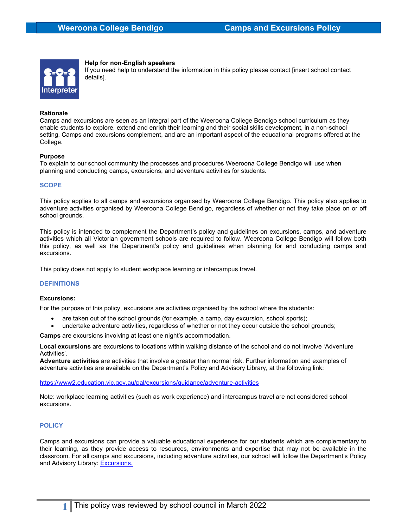

# Help for non-English speakers

If you need help to understand the information in this policy please contact [insert school contact details].

#### Rationale

Camps and excursions are seen as an integral part of the Weeroona College Bendigo school curriculum as they enable students to explore, extend and enrich their learning and their social skills development, in a non-school setting. Camps and excursions complement, and are an important aspect of the educational programs offered at the College.

### Purpose

To explain to our school community the processes and procedures Weeroona College Bendigo will use when planning and conducting camps, excursions, and adventure activities for students.

# **SCOPE**

This policy applies to all camps and excursions organised by Weeroona College Bendigo. This policy also applies to adventure activities organised by Weeroona College Bendigo, regardless of whether or not they take place on or off school grounds.

This policy is intended to complement the Department's policy and guidelines on excursions, camps, and adventure activities which all Victorian government schools are required to follow. Weeroona College Bendigo will follow both this policy, as well as the Department's policy and guidelines when planning for and conducting camps and excursions.

This policy does not apply to student workplace learning or intercampus travel.

# **DEFINITIONS**

#### Excursions:

For the purpose of this policy, excursions are activities organised by the school where the students:

- are taken out of the school grounds (for example, a camp, day excursion, school sports);
- undertake adventure activities, regardless of whether or not they occur outside the school grounds;

Camps are excursions involving at least one night's accommodation.

Local excursions are excursions to locations within walking distance of the school and do not involve 'Adventure Activities'.

Adventure activities are activities that involve a greater than normal risk. Further information and examples of adventure activities are available on the Department's Policy and Advisory Library, at the following link:

https://www2.education.vic.gov.au/pal/excursions/guidance/adventure-activities

Note: workplace learning activities (such as work experience) and intercampus travel are not considered school excursions.

# **POLICY**

Camps and excursions can provide a valuable educational experience for our students which are complementary to their learning, as they provide access to resources, environments and expertise that may not be available in the classroom. For all camps and excursions, including adventure activities, our school will follow the Department's Policy and Advisory Library: **Excursions.**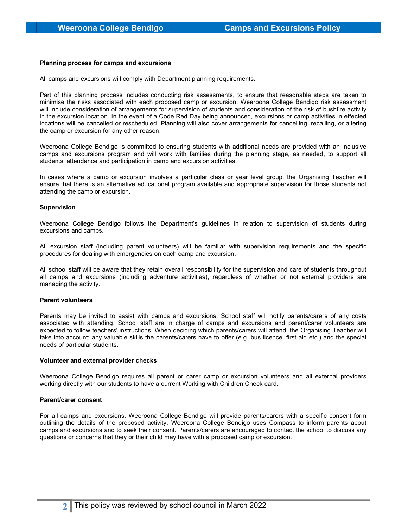# Planning process for camps and excursions

All camps and excursions will comply with Department planning requirements.

Part of this planning process includes conducting risk assessments, to ensure that reasonable steps are taken to minimise the risks associated with each proposed camp or excursion. Weeroona College Bendigo risk assessment will include consideration of arrangements for supervision of students and consideration of the risk of bushfire activity in the excursion location. In the event of a Code Red Day being announced, excursions or camp activities in effected locations will be cancelled or rescheduled. Planning will also cover arrangements for cancelling, recalling, or altering the camp or excursion for any other reason.

Weeroona College Bendigo is committed to ensuring students with additional needs are provided with an inclusive camps and excursions program and will work with families during the planning stage, as needed, to support all students' attendance and participation in camp and excursion activities.

In cases where a camp or excursion involves a particular class or year level group, the Organising Teacher will ensure that there is an alternative educational program available and appropriate supervision for those students not attending the camp or excursion.

### Supervision

Weeroona College Bendigo follows the Department's guidelines in relation to supervision of students during excursions and camps.

All excursion staff (including parent volunteers) will be familiar with supervision requirements and the specific procedures for dealing with emergencies on each camp and excursion.

All school staff will be aware that they retain overall responsibility for the supervision and care of students throughout all camps and excursions (including adventure activities), regardless of whether or not external providers are managing the activity.

#### Parent volunteers

Parents may be invited to assist with camps and excursions. School staff will notify parents/carers of any costs associated with attending. School staff are in charge of camps and excursions and parent/carer volunteers are expected to follow teachers' instructions. When deciding which parents/carers will attend, the Organising Teacher will take into account: any valuable skills the parents/carers have to offer (e.g. bus licence, first aid etc.) and the special needs of particular students.

#### Volunteer and external provider checks

Weeroona College Bendigo requires all parent or carer camp or excursion volunteers and all external providers working directly with our students to have a current Working with Children Check card.

#### Parent/carer consent

For all camps and excursions, Weeroona College Bendigo will provide parents/carers with a specific consent form outlining the details of the proposed activity. Weeroona College Bendigo uses Compass to inform parents about camps and excursions and to seek their consent. Parents/carers are encouraged to contact the school to discuss any questions or concerns that they or their child may have with a proposed camp or excursion.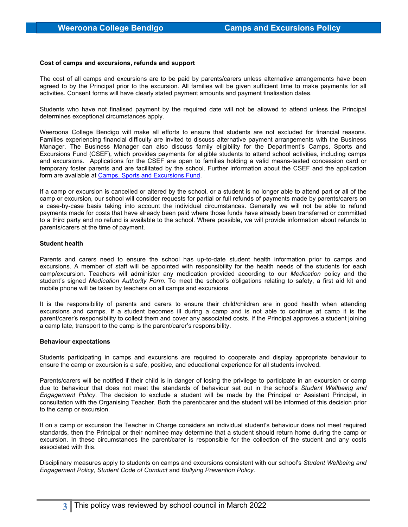### Cost of camps and excursions, refunds and support

The cost of all camps and excursions are to be paid by parents/carers unless alternative arrangements have been agreed to by the Principal prior to the excursion. All families will be given sufficient time to make payments for all activities. Consent forms will have clearly stated payment amounts and payment finalisation dates.

Students who have not finalised payment by the required date will not be allowed to attend unless the Principal determines exceptional circumstances apply.

Weeroona College Bendigo will make all efforts to ensure that students are not excluded for financial reasons. Families experiencing financial difficulty are invited to discuss alternative payment arrangements with the Business Manager. The Business Manager can also discuss family eligibility for the Department's Camps, Sports and Excursions Fund (CSEF), which provides payments for eligible students to attend school activities, including camps and excursions. Applications for the CSEF are open to families holding a valid means-tested concession card or temporary foster parents and are facilitated by the school. Further information about the CSEF and the application form are available at Camps, Sports and Excursions Fund.

If a camp or excursion is cancelled or altered by the school, or a student is no longer able to attend part or all of the camp or excursion, our school will consider requests for partial or full refunds of payments made by parents/carers on a case-by-case basis taking into account the individual circumstances. Generally we will not be able to refund payments made for costs that have already been paid where those funds have already been transferred or committed to a third party and no refund is available to the school. Where possible, we will provide information about refunds to parents/carers at the time of payment.

### Student health

Parents and carers need to ensure the school has up-to-date student health information prior to camps and excursions. A member of staff will be appointed with responsibility for the health needs of the students for each camp/excursion. Teachers will administer any medication provided according to our Medication policy and the student's signed Medication Authority Form. To meet the school's obligations relating to safety, a first aid kit and mobile phone will be taken by teachers on all camps and excursions.

It is the responsibility of parents and carers to ensure their child/children are in good health when attending excursions and camps. If a student becomes ill during a camp and is not able to continue at camp it is the parent/carer's responsibility to collect them and cover any associated costs. If the Principal approves a student joining a camp late, transport to the camp is the parent/carer's responsibility.

#### Behaviour expectations

Students participating in camps and excursions are required to cooperate and display appropriate behaviour to ensure the camp or excursion is a safe, positive, and educational experience for all students involved.

Parents/carers will be notified if their child is in danger of losing the privilege to participate in an excursion or camp due to behaviour that does not meet the standards of behaviour set out in the school's Student Wellbeing and Engagement Policy. The decision to exclude a student will be made by the Principal or Assistant Principal, in consultation with the Organising Teacher. Both the parent/carer and the student will be informed of this decision prior to the camp or excursion.

If on a camp or excursion the Teacher in Charge considers an individual student's behaviour does not meet required standards, then the Principal or their nominee may determine that a student should return home during the camp or excursion. In these circumstances the parent/carer is responsible for the collection of the student and any costs associated with this.

Disciplinary measures apply to students on camps and excursions consistent with our school's Student Wellbeing and Engagement Policy, Student Code of Conduct and Bullying Prevention Policy.